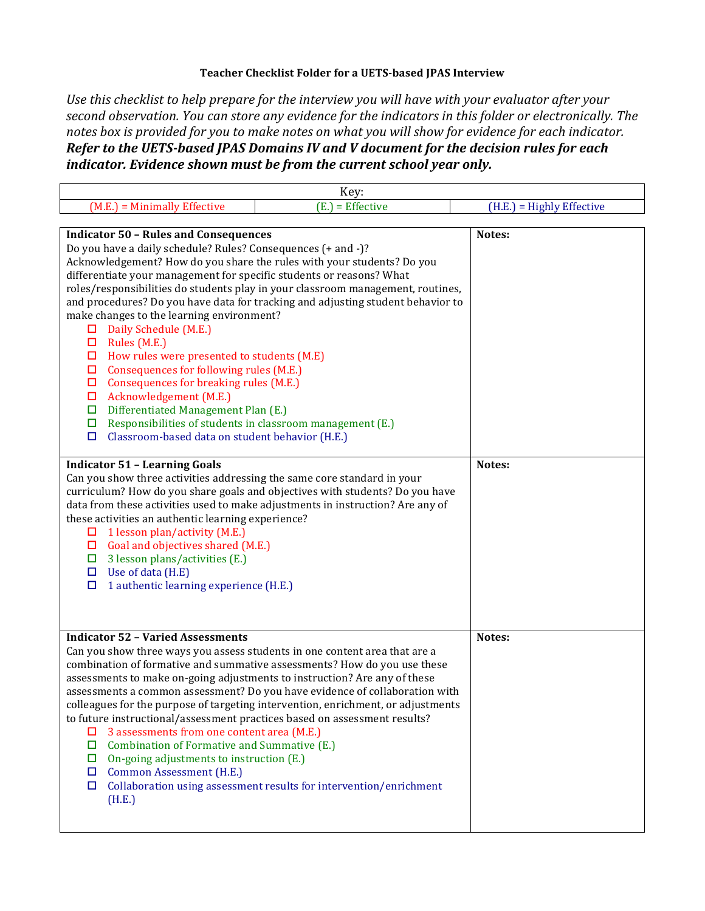## Teacher Checklist Folder for a UETS-based JPAS Interview

Use this checklist to help prepare for the interview you will have with your evaluator after your *second observation. You can store any evidence for the indicators in this folder or electronically. The notes box is provided for you to make notes on what you will show for evidence for each indicator. Refer to the UETS-based JPAS Domains IV and V document for the decision rules for each indicator.* Evidence shown must be from the current school year only.

| Key:                                                                                                                                                                                                                                                                                                                                                                                                                                                                                                                                                                                                                                                                                                                                           |                                                                                                                                                                                                                                                                                                                   |                           |  |  |
|------------------------------------------------------------------------------------------------------------------------------------------------------------------------------------------------------------------------------------------------------------------------------------------------------------------------------------------------------------------------------------------------------------------------------------------------------------------------------------------------------------------------------------------------------------------------------------------------------------------------------------------------------------------------------------------------------------------------------------------------|-------------------------------------------------------------------------------------------------------------------------------------------------------------------------------------------------------------------------------------------------------------------------------------------------------------------|---------------------------|--|--|
| (M.E.) = Minimally Effective                                                                                                                                                                                                                                                                                                                                                                                                                                                                                                                                                                                                                                                                                                                   | $(E.)$ = Effective                                                                                                                                                                                                                                                                                                | (H.E.) = Highly Effective |  |  |
|                                                                                                                                                                                                                                                                                                                                                                                                                                                                                                                                                                                                                                                                                                                                                |                                                                                                                                                                                                                                                                                                                   |                           |  |  |
| <b>Indicator 50 - Rules and Consequences</b><br>Do you have a daily schedule? Rules? Consequences (+ and -)?<br>Acknowledgement? How do you share the rules with your students? Do you<br>differentiate your management for specific students or reasons? What<br>make changes to the learning environment?<br>Daily Schedule (M.E.)<br>Rules (M.E.)<br>□<br>How rules were presented to students (M.E)<br>□<br>Consequences for following rules (M.E.)<br>$\Box$<br>Consequences for breaking rules (M.E.)<br>$\Box$<br>$\Box$<br>Acknowledgement (M.E.)<br>Differentiated Management Plan (E.)<br>$\Box$<br>Responsibilities of students in classroom management (E.)<br>$\Box$<br>$\Box$<br>Classroom-based data on student behavior (H.E.) | roles/responsibilities do students play in your classroom management, routines,<br>and procedures? Do you have data for tracking and adjusting student behavior to                                                                                                                                                | Notes:                    |  |  |
| <b>Indicator 51 - Learning Goals</b><br>Can you show three activities addressing the same core standard in your<br>these activities an authentic learning experience?<br>1 lesson plan/activity (M.E.)<br>□<br>Goal and objectives shared (M.E.)<br>$\Box$<br>3 lesson plans/activities (E.)<br>□<br>Use of data (H.E)<br>$\Box$<br>$\Box$<br>1 authentic learning experience (H.E.)                                                                                                                                                                                                                                                                                                                                                           | curriculum? How do you share goals and objectives with students? Do you have<br>data from these activities used to make adjustments in instruction? Are any of                                                                                                                                                    | Notes:                    |  |  |
| <b>Indicator 52 - Varied Assessments</b><br>Can you show three ways you assess students in one content area that are a<br>assessments to make on-going adjustments to instruction? Are any of these<br>to future instructional/assessment practices based on assessment results?<br>3 assessments from one content area (M.E.)<br>□<br>Combination of Formative and Summative (E.)<br>$\Box$<br>On-going adjustments to instruction (E.)<br>$\Box$<br>Common Assessment (H.E.)<br>□<br>□<br>(H.E.)                                                                                                                                                                                                                                             | combination of formative and summative assessments? How do you use these<br>assessments a common assessment? Do you have evidence of collaboration with<br>colleagues for the purpose of targeting intervention, enrichment, or adjustments<br>Collaboration using assessment results for intervention/enrichment | Notes:                    |  |  |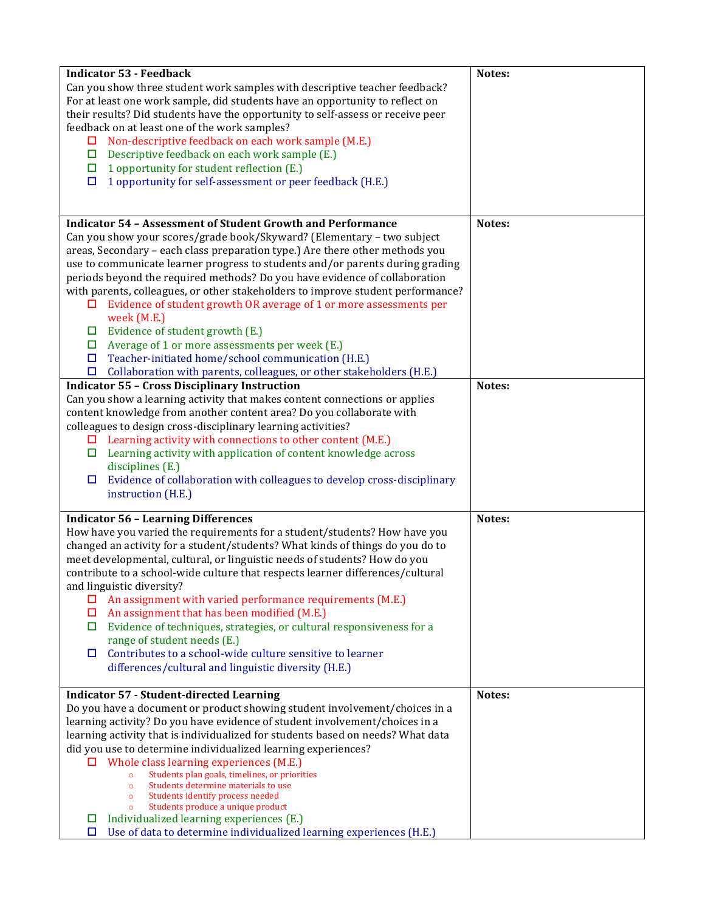| <b>Indicator 53 - Feedback</b><br>Can you show three student work samples with descriptive teacher feedback?<br>For at least one work sample, did students have an opportunity to reflect on<br>their results? Did students have the opportunity to self-assess or receive peer<br>feedback on at least one of the work samples?<br>Non-descriptive feedback on each work sample (M.E.)<br>⊔<br>Descriptive feedback on each work sample (E.)<br>□<br>1 opportunity for student reflection (E.)<br>□<br>1 opportunity for self-assessment or peer feedback (H.E.)<br>□                                                                                                                                             | Notes: |
|--------------------------------------------------------------------------------------------------------------------------------------------------------------------------------------------------------------------------------------------------------------------------------------------------------------------------------------------------------------------------------------------------------------------------------------------------------------------------------------------------------------------------------------------------------------------------------------------------------------------------------------------------------------------------------------------------------------------|--------|
| <b>Indicator 54 - Assessment of Student Growth and Performance</b>                                                                                                                                                                                                                                                                                                                                                                                                                                                                                                                                                                                                                                                 | Notes: |
| Can you show your scores/grade book/Skyward? (Elementary - two subject<br>areas, Secondary - each class preparation type.) Are there other methods you<br>use to communicate learner progress to students and/or parents during grading<br>periods beyond the required methods? Do you have evidence of collaboration<br>with parents, colleagues, or other stakeholders to improve student performance?<br>Evidence of student growth OR average of 1 or more assessments per<br>□<br>week (M.E.)<br>Evidence of student growth (E.)<br>□                                                                                                                                                                         |        |
| Average of 1 or more assessments per week (E.)<br>□<br>Teacher-initiated home/school communication (H.E.)<br>□                                                                                                                                                                                                                                                                                                                                                                                                                                                                                                                                                                                                     |        |
| Collaboration with parents, colleagues, or other stakeholders (H.E.)<br>$\Box$<br><b>Indicator 55 - Cross Disciplinary Instruction</b>                                                                                                                                                                                                                                                                                                                                                                                                                                                                                                                                                                             | Notes: |
| Can you show a learning activity that makes content connections or applies<br>content knowledge from another content area? Do you collaborate with<br>colleagues to design cross-disciplinary learning activities?<br>Learning activity with connections to other content (M.E.)<br>□<br>Learning activity with application of content knowledge across<br>□<br>disciplines (E.)<br>Evidence of collaboration with colleagues to develop cross-disciplinary<br>$\Box$<br>instruction (H.E.)                                                                                                                                                                                                                        |        |
| <b>Indicator 56 - Learning Differences</b>                                                                                                                                                                                                                                                                                                                                                                                                                                                                                                                                                                                                                                                                         | Notes: |
| How have you varied the requirements for a student/students? How have you<br>changed an activity for a student/students? What kinds of things do you do to<br>meet developmental, cultural, or linguistic needs of students? How do you<br>contribute to a school-wide culture that respects learner differences/cultural<br>and linguistic diversity?<br>An assignment with varied performance requirements (M.E.)<br>□<br>An assignment that has been modified (M.E.)<br>□<br>Evidence of techniques, strategies, or cultural responsiveness for a<br>□<br>range of student needs (E.)<br>Contributes to a school-wide culture sensitive to learner<br>□<br>differences/cultural and linguistic diversity (H.E.) | Notes: |
| <b>Indicator 57 - Student-directed Learning</b><br>Do you have a document or product showing student involvement/choices in a                                                                                                                                                                                                                                                                                                                                                                                                                                                                                                                                                                                      |        |
| learning activity? Do you have evidence of student involvement/choices in a                                                                                                                                                                                                                                                                                                                                                                                                                                                                                                                                                                                                                                        |        |
| learning activity that is individualized for students based on needs? What data<br>did you use to determine individualized learning experiences?                                                                                                                                                                                                                                                                                                                                                                                                                                                                                                                                                                   |        |
| Whole class learning experiences (M.E.)<br>Students plan goals, timelines, or priorities<br>$\circ$<br>Students determine materials to use<br>$\circ$<br>Students identify process needed<br>$\circ$<br>Students produce a unique product<br>Ō                                                                                                                                                                                                                                                                                                                                                                                                                                                                     |        |
| Individualized learning experiences (E.)<br>⊔                                                                                                                                                                                                                                                                                                                                                                                                                                                                                                                                                                                                                                                                      |        |
| Use of data to determine individualized learning experiences (H.E.)<br>□                                                                                                                                                                                                                                                                                                                                                                                                                                                                                                                                                                                                                                           |        |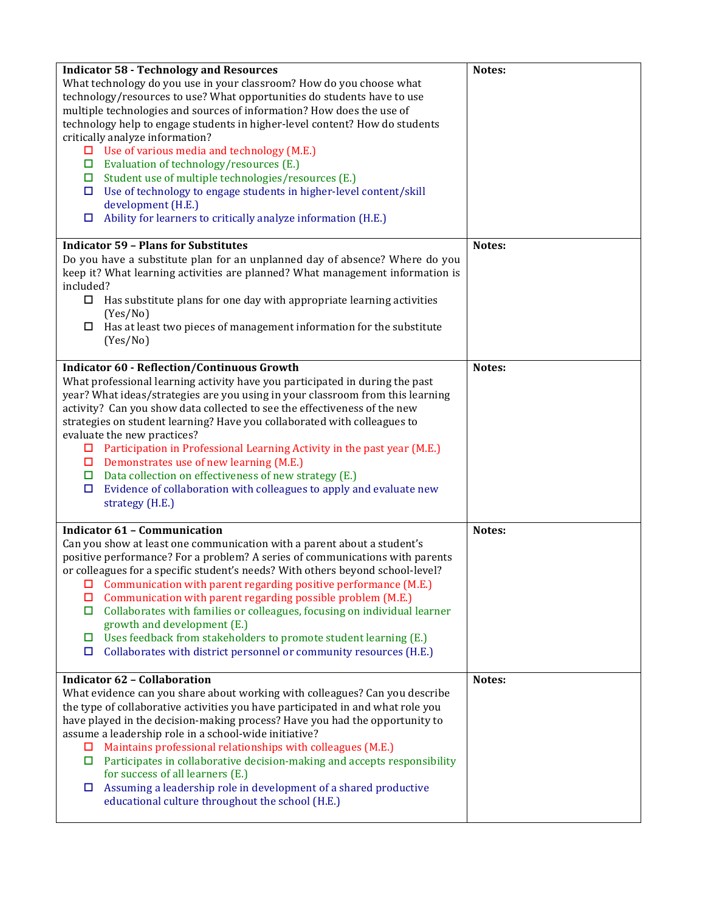| <b>Indicator 58 - Technology and Resources</b>                                     | Notes: |
|------------------------------------------------------------------------------------|--------|
|                                                                                    |        |
| What technology do you use in your classroom? How do you choose what               |        |
| technology/resources to use? What opportunities do students have to use            |        |
| multiple technologies and sources of information? How does the use of              |        |
| technology help to engage students in higher-level content? How do students        |        |
|                                                                                    |        |
| critically analyze information?                                                    |        |
| $\Box$ Use of various media and technology (M.E.)                                  |        |
| Evaluation of technology/resources (E.)<br>$\Box$                                  |        |
| Student use of multiple technologies/resources (E.)<br>$\Box$                      |        |
| Use of technology to engage students in higher-level content/skill<br>$\Box$       |        |
| development (H.E.)                                                                 |        |
|                                                                                    |        |
| Ability for learners to critically analyze information (H.E.)<br>□                 |        |
|                                                                                    |        |
| <b>Indicator 59 - Plans for Substitutes</b>                                        | Notes: |
| Do you have a substitute plan for an unplanned day of absence? Where do you        |        |
| keep it? What learning activities are planned? What management information is      |        |
| included?                                                                          |        |
|                                                                                    |        |
| $\Box$ Has substitute plans for one day with appropriate learning activities       |        |
| (Yes/No)                                                                           |        |
| Has at least two pieces of management information for the substitute               |        |
| (Yes/No)                                                                           |        |
|                                                                                    |        |
| <b>Indicator 60 - Reflection/Continuous Growth</b>                                 | Notes: |
| What professional learning activity have you participated in during the past       |        |
|                                                                                    |        |
| year? What ideas/strategies are you using in your classroom from this learning     |        |
| activity? Can you show data collected to see the effectiveness of the new          |        |
| strategies on student learning? Have you collaborated with colleagues to           |        |
| evaluate the new practices?                                                        |        |
| $\Box$ Participation in Professional Learning Activity in the past year (M.E.)     |        |
| $\Box$ Demonstrates use of new learning (M.E.)                                     |        |
|                                                                                    |        |
| Data collection on effectiveness of new strategy (E.)<br>$\Box$                    |        |
| Evidence of collaboration with colleagues to apply and evaluate new<br>□.          |        |
| strategy (H.E.)                                                                    |        |
|                                                                                    |        |
| <b>Indicator 61 - Communication</b>                                                | Notes: |
| Can you show at least one communication with a parent about a student's            |        |
| positive performance? For a problem? A series of communications with parents       |        |
|                                                                                    |        |
| or colleagues for a specific student's needs? With others beyond school-level?     |        |
| Communication with parent regarding positive performance (M.E.)<br>□               |        |
| Communication with parent regarding possible problem (M.E.)<br>ப                   |        |
| Collaborates with families or colleagues, focusing on individual learner<br>□      |        |
| growth and development (E.)                                                        |        |
| Uses feedback from stakeholders to promote student learning (E.)<br>$\Box$         |        |
|                                                                                    |        |
| Collaborates with district personnel or community resources (H.E.)<br>□            |        |
|                                                                                    |        |
| <b>Indicator 62 - Collaboration</b>                                                | Notes: |
| What evidence can you share about working with colleagues? Can you describe        |        |
| the type of collaborative activities you have participated in and what role you    |        |
| have played in the decision-making process? Have you had the opportunity to        |        |
|                                                                                    |        |
| assume a leadership role in a school-wide initiative?                              |        |
| Maintains professional relationships with colleagues (M.E.)<br>□.                  |        |
| Participates in collaborative decision-making and accepts responsibility<br>$\Box$ |        |
| for success of all learners (E.)                                                   |        |
| Assuming a leadership role in development of a shared productive<br>$\Box$         |        |
|                                                                                    |        |
| educational culture throughout the school (H.E.)                                   |        |